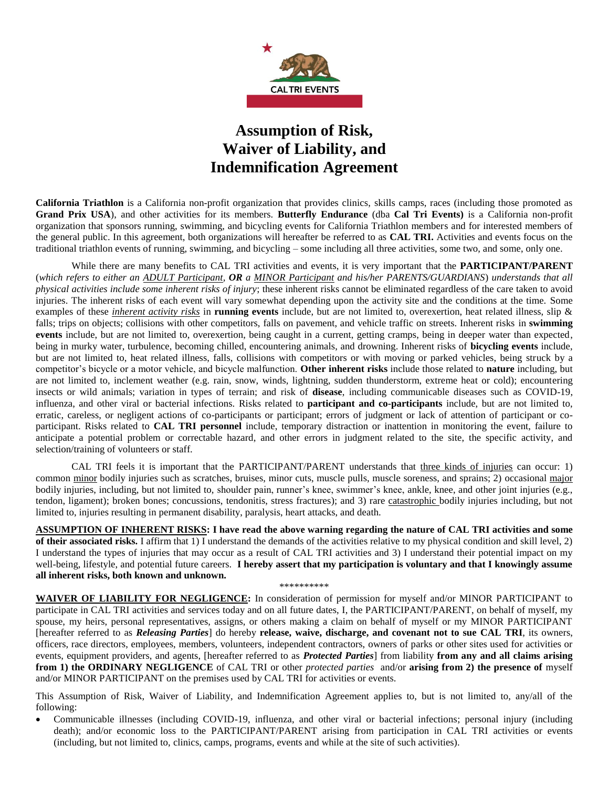

# **Assumption of Risk, Waiver of Liability, and Indemnification Agreement**

**California Triathlon** is a California non-profit organization that provides clinics, skills camps, races (including those promoted as **Grand Prix USA**), and other activities for its members. **Butterfly Endurance** (dba **Cal Tri Events)** is a California non-profit organization that sponsors running, swimming, and bicycling events for California Triathlon members and for interested members of the general public. In this agreement, both organizations will hereafter be referred to as **CAL TRI.** Activities and events focus on the traditional triathlon events of running, swimming, and bicycling – some including all three activities, some two, and some, only one.

While there are many benefits to CAL TRI activities and events, it is very important that the **PARTICIPANT/PARENT** (*which refers to either an ADULT Participant, OR a MINOR Participant and his/her PARENTS/GUARDIANS*) *understands that all physical activities include some inherent risks of injury*; these inherent risks cannot be eliminated regardless of the care taken to avoid injuries. The inherent risks of each event will vary somewhat depending upon the activity site and the conditions at the time. Some examples of these *inherent activity risks* in **running events** include, but are not limited to, overexertion, heat related illness, slip & falls; trips on objects; collisions with other competitors, falls on pavement, and vehicle traffic on streets. Inherent risks in **swimming events** include, but are not limited to, overexertion, being caught in a current, getting cramps, being in deeper water than expected, being in murky water, turbulence, becoming chilled, encountering animals, and drowning. Inherent risks of **bicycling events** include, but are not limited to, heat related illness, falls, collisions with competitors or with moving or parked vehicles, being struck by a competitor's bicycle or a motor vehicle, and bicycle malfunction. **Other inherent risks** include those related to **nature** including, but are not limited to, inclement weather (e.g. rain, snow, winds, lightning, sudden thunderstorm, extreme heat or cold); encountering insects or wild animals; variation in types of terrain; and risk of **disease**, including communicable diseases such as COVID-19, influenza, and other viral or bacterial infections. Risks related to **participant and co-participants** include, but are not limited to, erratic, careless, or negligent actions of co-participants or participant; errors of judgment or lack of attention of participant or coparticipant. Risks related to **CAL TRI personnel** include, temporary distraction or inattention in monitoring the event, failure to anticipate a potential problem or correctable hazard, and other errors in judgment related to the site, the specific activity, and selection/training of volunteers or staff.

CAL TRI feels it is important that the PARTICIPANT/PARENT understands that three kinds of injuries can occur: 1) common minor bodily injuries such as scratches, bruises, minor cuts, muscle pulls, muscle soreness, and sprains; 2) occasional major bodily injuries, including, but not limited to, shoulder pain, runner's knee, swimmer's knee, ankle, knee, and other joint injuries (e.g., tendon, ligament); broken bones; concussions, tendonitis, stress fractures); and 3) rare catastrophic bodily injuries including, but not limited to, injuries resulting in permanent disability, paralysis, heart attacks, and death.

**ASSUMPTION OF INHERENT RISKS: I have read the above warning regarding the nature of CAL TRI activities and some of their associated risks.** I affirm that 1) I understand the demands of the activities relative to my physical condition and skill level, 2) I understand the types of injuries that may occur as a result of CAL TRI activities and 3) I understand their potential impact on my well-being, lifestyle, and potential future careers. **I hereby assert that my participation is voluntary and that I knowingly assume all inherent risks, both known and unknown.** 

\*\*\*\*\*\*\*\*\*\*

**WAIVER OF LIABILITY FOR NEGLIGENCE:** In consideration of permission for myself and/or MINOR PARTICIPANT to participate in CAL TRI activities and services today and on all future dates, I, the PARTICIPANT/PARENT, on behalf of myself, my spouse, my heirs, personal representatives, assigns, or others making a claim on behalf of myself or my MINOR PARTICIPANT [hereafter referred to as *Releasing Parties*] do hereby **release, waive, discharge, and covenant not to sue CAL TRI**, its owners, officers, race directors, employees, members, volunteers, independent contractors, owners of parks or other sites used for activities or events, equipment providers, and agents, [hereafter referred to as *Protected Parties*] from liability **from any and all claims arising from 1) the ORDINARY NEGLIGENCE** of CAL TRI or other *protected parties* and/or **arising from 2) the presence of** myself and/or MINOR PARTICIPANT on the premises used by CAL TRI for activities or events.

This Assumption of Risk, Waiver of Liability, and Indemnification Agreement applies to, but is not limited to, any/all of the following:

• Communicable illnesses (including COVID-19, influenza, and other viral or bacterial infections; personal injury (including death); and/or economic loss to the PARTICIPANT/PARENT arising from participation in CAL TRI activities or events (including, but not limited to, clinics, camps, programs, events and while at the site of such activities).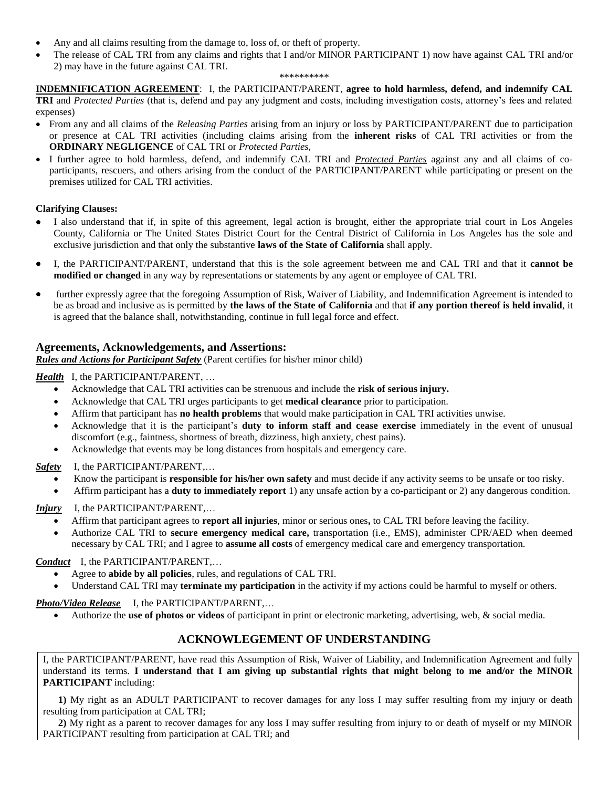- Any and all claims resulting from the damage to, loss of, or theft of property.
- The release of CAL TRI from any claims and rights that I and/or MINOR PARTICIPANT 1) now have against CAL TRI and/or 2) may have in the future against CAL TRI.

#### \*\*\*\*\*\*\*\*\*\*

**INDEMNIFICATION AGREEMENT**: I, the PARTICIPANT/PARENT, **agree to hold harmless, defend, and indemnify CAL TRI** and *Protected Parties* (that is, defend and pay any judgment and costs, including investigation costs, attorney's fees and related expenses)

- From any and all claims of the *Releasing Parties* arising from an injury or loss by PARTICIPANT/PARENT due to participation or presence at CAL TRI activities (including claims arising from the **inherent risks** of CAL TRI activities or from the **ORDINARY NEGLIGENCE** of CAL TRI or *Protected Parties,*
- I further agree to hold harmless, defend, and indemnify CAL TRI and *Protected Parties* against any and all claims of coparticipants, rescuers, and others arising from the conduct of the PARTICIPANT/PARENT while participating or present on the premises utilized for CAL TRI activities.

#### **Clarifying Clauses:**

- I also understand that if, in spite of this agreement, legal action is brought, either the appropriate trial court in Los Angeles County, California or The United States District Court for the Central District of California in Los Angeles has the sole and exclusive jurisdiction and that only the substantive **laws of the State of California** shall apply.
- I, the PARTICIPANT/PARENT, understand that this is the sole agreement between me and CAL TRI and that it **cannot be modified or changed** in any way by representations or statements by any agent or employee of CAL TRI.
- further expressly agree that the foregoing Assumption of Risk, Waiver of Liability, and Indemnification Agreement is intended to be as broad and inclusive as is permitted by **the laws of the State of California** and that **if any portion thereof is held invalid**, it is agreed that the balance shall, notwithstanding, continue in full legal force and effect.

### **Agreements, Acknowledgements, and Assertions:**

*Rules and Actions for Participant Safety* (Parent certifies for his/her minor child)

*Health* I, the PARTICIPANT/PARENT, ...

- Acknowledge that CAL TRI activities can be strenuous and include the **risk of serious injury.**
- Acknowledge that CAL TRI urges participants to get **medical clearance** prior to participation.
- Affirm that participant has **no health problems** that would make participation in CAL TRI activities unwise.
- Acknowledge that it is the participant's **duty to inform staff and cease exercise** immediately in the event of unusual discomfort (e.g., faintness, shortness of breath, dizziness, high anxiety, chest pains).
- Acknowledge that events may be long distances from hospitals and emergency care.

*Safety* I, the PARTICIPANT/PARENT,…

- Know the participant is **responsible for his/her own safety** and must decide if any activity seems to be unsafe or too risky.
- Affirm participant has a **duty to immediately report** 1) any unsafe action by a co-participant or 2) any dangerous condition.

### *Injury* I, the PARTICIPANT/PARENT,...

- Affirm that participant agrees to **report all injuries**, minor or serious ones**,** to CAL TRI before leaving the facility.
- Authorize CAL TRI to **secure emergency medical care,** transportation (i.e., EMS), administer CPR/AED when deemed necessary by CAL TRI; and I agree to **assume all costs** of emergency medical care and emergency transportation.

*Conduct* I, the PARTICIPANT/PARENT,…

- Agree to **abide by all policies**, rules, and regulations of CAL TRI.
- Understand CAL TRI may **terminate my participation** in the activity if my actions could be harmful to myself or others.

*Photo/Video Release* I, the PARTICIPANT/PARENT,…

• Authorize the **use of photos or videos** of participant in print or electronic marketing, advertising, web, & social media.

## **ACKNOWLEGEMENT OF UNDERSTANDING**

I, the PARTICIPANT/PARENT, have read this Assumption of Risk, Waiver of Liability, and Indemnification Agreement and fully understand its terms. **I understand that I am giving up substantial rights that might belong to me and/or the MINOR PARTICIPANT** including:

**1)** My right as an ADULT PARTICIPANT to recover damages for any loss I may suffer resulting from my injury or death resulting from participation at CAL TRI;

**2)** My right as a parent to recover damages for any loss I may suffer resulting from injury to or death of myself or my MINOR PARTICIPANT resulting from participation at CAL TRI; and